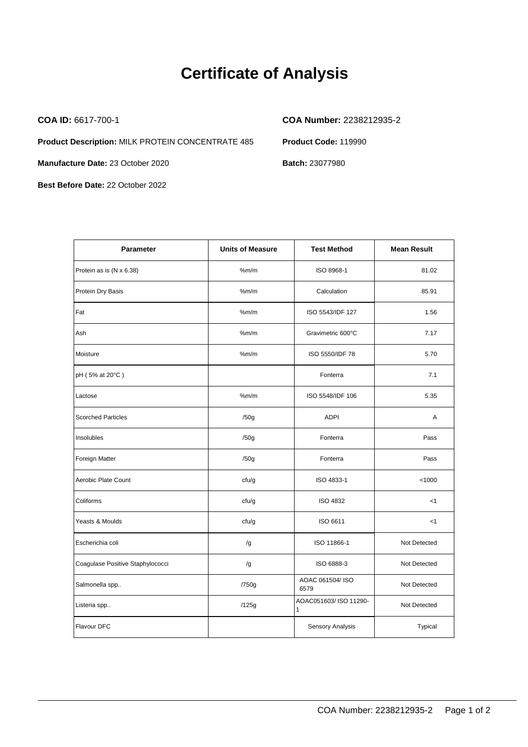## **Certificate of Analysis**

**Product Description:** MILK PROTEIN CONCENTRATE 485 **Product Code:** 119990

**Manufacture Date: 23 October 2020 Batch: 23077980** 

**Best Before Date:** 22 October 2022

**COA ID:** 6617-700-1 **COA Number:** 2238212935-2

| <b>Parameter</b>                 | <b>Units of Measure</b> | <b>Test Method</b>                     | <b>Mean Result</b> |
|----------------------------------|-------------------------|----------------------------------------|--------------------|
| Protein as is (N x 6.38)         | %m/m                    | ISO 8968-1                             | 81.02              |
| Protein Dry Basis                | %m/m                    | Calculation                            | 85.91              |
| Fat                              | %m/m                    | ISO 5543/IDF 127                       | 1.56               |
| Ash                              | %m/m                    | Gravimetric 600°C                      | 7.17               |
| Moisture                         | %m/m                    | ISO 5550/IDF 78                        | 5.70               |
| pH (5% at 20°C)                  |                         | Fonterra                               | 7.1                |
| Lactose                          | %m/m                    | ISO 5548/IDF 106                       | 5.35               |
| <b>Scorched Particles</b>        | /50g                    | <b>ADPI</b>                            | A                  |
| Insolubles                       | /50g                    | Fonterra                               | Pass               |
| Foreign Matter                   | /50g                    | Fonterra                               | Pass               |
| Aerobic Plate Count              | cfu/g                   | ISO 4833-1                             | < 1000             |
| Coliforms                        | cfu/g                   | <b>ISO 4832</b>                        | $<$ 1              |
| Yeasts & Moulds                  | cfu/g                   | ISO 6611                               | $<$ 1              |
| Escherichia coli                 | /g                      | ISO 11866-1                            | Not Detected       |
| Coagulase Positive Staphylococci | /g                      | ISO 6888-3                             | Not Detected       |
| Salmonella spp                   | /750g                   | AOAC 061504/ ISO<br>6579               | Not Detected       |
| Listeria spp                     | /125g                   | AOAC051603/ ISO 11290-<br>$\mathbf{1}$ | Not Detected       |
| Flavour DFC                      |                         | Sensory Analysis                       | Typical            |